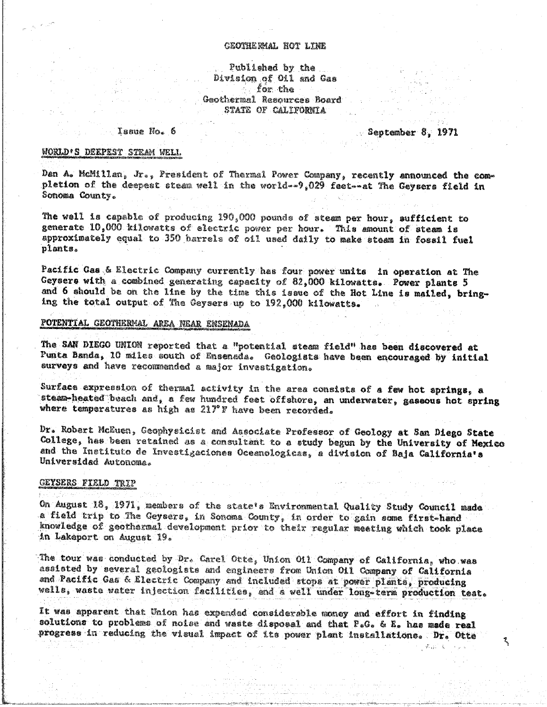# GEOTHERMAL HOT LINE

# Published by the Division of Oil and Gas **Earth Control** Geothermal Resources Board STATE OF CALIFORNIA

#### Issue No. 6

September 8, 1971

ጜ

Rasil C

# WORLD'S DEEPEST STEAM WELL

Dan A. McMillan, Jr., President of Thermal Power Company, recently announced the completion of the deepeat steam well in the world--9,029 feet--at The Geysers field in Sonoma County.

The well is capable of producing 190,000 pounds of steam per hour, sufficient to generate 10,000 kilowatts of electric power per hour. This amount of steam is approximately equal to 350 harrels of oil used daily to make steam in fossil fuel plants.

Pacific Gas & Electric Company currently has four power units in operation at The Geysers with a combined generating capacity of 82,000 kilowatts. Power plants 5 and 6 should be on the line by the time this issue of the Hot Line is mailed, bringing the total output of The Geysers up to 192,000 kilowatts.

# POTENTIAL GEOTHERMAL AREA NEAR ENSENADA

The SAN DIEGO UNION reported that a "potential steam field" has been discovered at Punta Banda, 10 miles south of Ensenada. Geologists have been encouraged by initial surveys and have recommended a major investigation.

Surface expression of thermal activity in the area consists of a few hot springs, a steam-heated beach and, a few hundred feet offshore, an underwater, gaseous hot spring where temperatures as high as 217°F have been recorded.

Dr. Robert McEuen, Geophysicist and Associate Professor of Geology at San Diego State College, has been retained as a consultant to a study begun by the University of Mexico and the Instituto de Investigaciones Oceanologicas, a division of Baja California's Universidad Autonoma.

#### GEYSERS FIELD TRIP

On August 18, 1971, members of the state's Environmental Quality Study Council made a field trip to The Geysers, in Sonoma County, in order to gain some first-hand knowledge of geothermal development prior to their regular meeting which took place in Lakeport on August 19.

The tour was conducted by Dr. Carel Otte, Union Oil Company of California, who was assisted by several geologists and engineers from Union Oil Company of California and Pacific Gas & Electric Company and included stops at power plants, producing wells, waste water injection facilities, and a well under long-term production test.

It was apparent that Union has expended considerable money and effort in finding solutions to problems of noise and waste disposal and that P.G. & E. has made real progress in reducing the visual impact of its power plant installations. Dr. Otte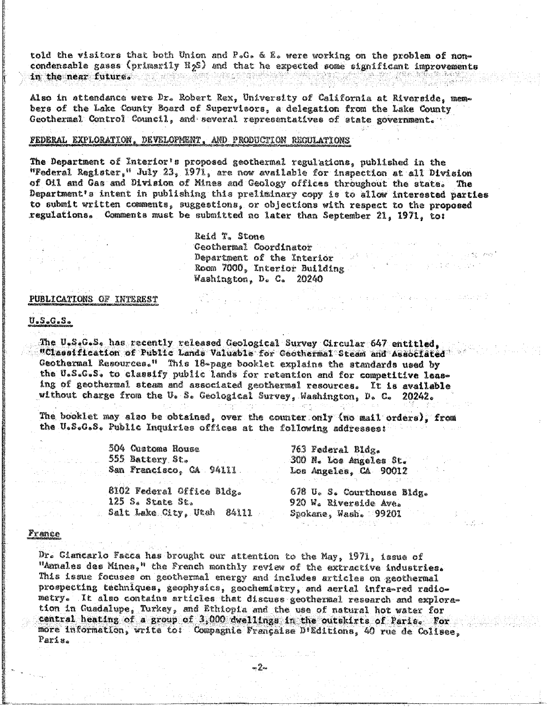told the visitors that both Union and P.G. & E. were working on the problem of noncondensable gases (primarily H<sub>2</sub>S) and that he expected some significant improvements in the near future. All which has a statement of

Also in attendance were Dr. Robert Rex, University of California at Riverside, members of the Lake County Board of Supervisors, a delegation from the Lake County Geothermal Control Council, and several representatives of state government.

### FEDERAL EXPLORATION, DEVELOPMENT, AND PRODUCTION REGULATIONS

The Department of Interior's proposed geothermal regulations, published in the "Federal Register," July 23, 1971, are now evailable for inspection at all Division of Oil and Gas and Division of Mines and Geology offices throughout the state. The Department's intent in publishing this preliminary copy is to allow interested parties to submit written comments, suggestions, or objections with respect to the proposed regulations. Comments must be submitted no later than September 21, 1971, to:

> Reid T. Stone Geothermal Coordinator Department of the Interior Room 7000, Interior Building Washington, D. C. 20240

### PUBLICATIONS OF INTEREST

# <u>U.S.G.S.</u>

The U.S.G.S. has recently released Geological Survey Circular 647 entitled, "Classification of Public Lands Valuable for Geothermal Steam and Associated" Geothermal Resources." This 18-page booklet explains the standards used by the U.S.G.S. to classify public lands for retention and for competitive leasing of geothermal steam and associated geothermal resources. It is available without charge from the U. S. Geological Survey, Washington, D. C. 20242.

The booklet may also be obtained, over the counter only (no mail orders), from the U.S.G.S. Public Inquiries offices at the following addresses:

| i04 Custone House        |  | 763 Federal Bldg.      |
|--------------------------|--|------------------------|
| 55 Battery St.           |  | 300 N. Los Angeles St. |
| ian Francisco, CA 94111. |  | Los Angeles, CA 90012  |
|                          |  |                        |

8102 Federal Office Bldg.  $125S<sub>6</sub>$  State St. . Salt Lake City, Utah 84111

678 U. S. Courthouse Bldg. 920 W. Riverside Ave. Spokane, Wash. 99201

a da ya Tsana ya Tsana ya Tsana.<br>Matukio

 $\mathcal{L}^{\mathcal{L}}(\mathcal{A})$  ,  $\mathcal{L}^{\mathcal{L}}(\mathcal{A})$ 

#### <u>France</u>

Dr. Ciancarlo Facca has brought our attention to the May, 1971, issue of "Annales des Mines," the French monthly review of the extractive industries. This issue focuses on geothermal energy and includes articles on geothermal prospecting techniques, geophysics, geochemistry, and aerial infra-red radiometry. It also contains articles that discuss geothermal research and exploration in Guadalupe, Turkey, and Ethiopia and the use of natural hot water for central heating of a group of 3,000 dwellings in the outskirts of Paris. For more information, write to: Compagnie Française D'Editions, 40 rue de Colisee, Paris.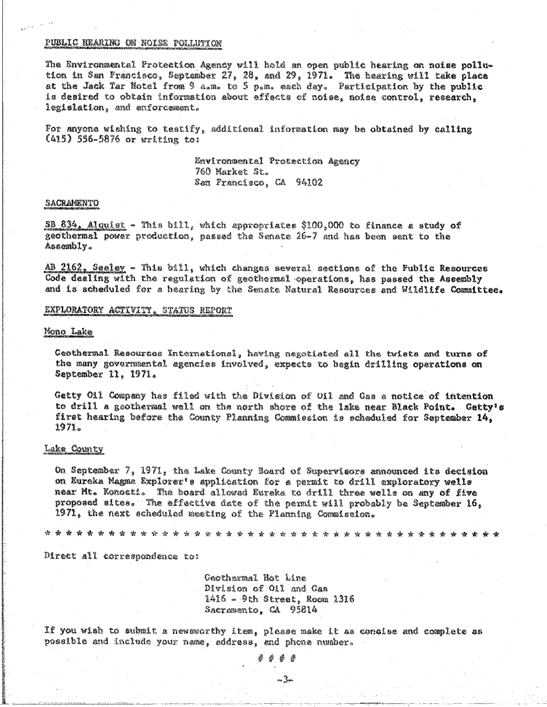### PUBLIC HEARING ON NOISE POLLUTION

The Environmental Protection Agency will hold an open public hearing on noise pollution in San Francisco, September 27, 28, and 29, 1971. The hearing will take place at the Jack Tar Hotel from 9 a.m. to 5 p.m. each day. Participation by the public is desired to obtain information about effects of noise, noise control, research, legislation, and enforcement.

For anyone wishing to testify, additional information may be obtained by calling  $(415)$  556-5876 or writing to:

> Environmental Protection Agency 760 Market St. San Francisco, CA 94102

#### SACRAMENTO

SB 834, Alguist - This bill, which appropriates \$100,000 to finance a study of geothermal power production, passed the Senate 26-7 and has been sent to the Assembly.

AB 2162, Seeley - This bill, which changes several sections of the Public Resources Code dealing with the regulation of geothermal operations, has passed the Assembly and is scheduled for a hearing by the Senate Natural Resources and Wildlife Committee.

### EXPLORATORY ACTIVITY, STATUS REPORT

#### Mono Lake

Geothermal Resources International, having negotiated all the twists and turns of the many governmental agencies involved, expects to begin drilling operations on September 11, 1971.

Getty Oil Company has filed with the Division of Oil and Gas a notice of intention to drill a geothermal well on the north shore of the lake near Black Point. Getty's first hearing before the County Planning Commission is scheduled for September 14. 1971.

# **Lake County**

On September 7, 1971, the Lake County Board of Supervisors announced its decision on Eureka Magma Explorer's application for a permit to drill exploratory wells near Mt. Konocti. The board allowed Eureke to drill three wells on any of five proposed sites. The effective date of the permit will probably be September 16. 1971, the next scheduled meeting of the Planning Commission.

法安安安安全协会的财务协会安全协会 \* \* \* \* \* \* \* \* \* \* \* \* \* \* \* \* \* \* \*

Direct all correspondence to:

Geothermal Hot Line Division of Oil and Cas 1416 - 9th Street, Room 1316 Sacramento, CA 95814

If you wish to submit a newsworthy item, please make it as consise and complete as possible and include your name, address, and phone number.

计拼替臂

vu San